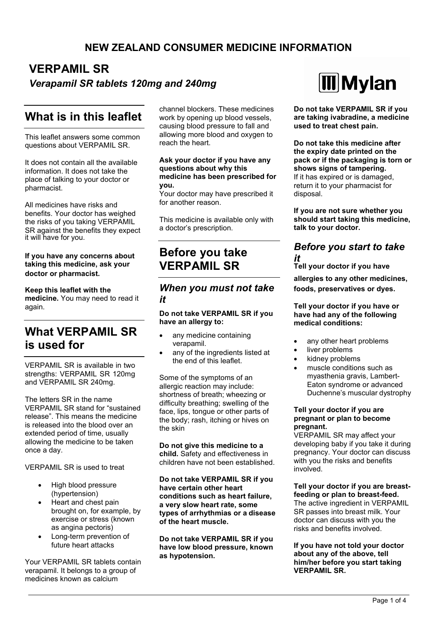## **NEW ZEALAND CONSUMER MEDICINE INFORMATION**

## **VERPAMIL SR** *Verapamil SR tablets 120mg and 240mg*

## **What is in this leaflet**

This leaflet answers some common questions about VERPAMIL SR.

It does not contain all the available information. It does not take the place of talking to your doctor or pharmacist.

All medicines have risks and benefits. Your doctor has weighed the risks of you taking VERPAMIL SR against the benefits they expect it will have for you.

### **If you have any concerns about taking this medicine, ask your** doctor or pharmacist.

**Keep this leaflet with the medicine.** You may need to read it again.

# **What VERPAMIL SR is used for**

VERPAMIL SR is available in two strengths: VERPAMIL SR 120mg and VERPAMIL SR 240mg.

The letters SR in the name VERPAMIL SR stand for "sustained release". This means the medicine is released into the blood over an extended period of time, usually allowing the medicine to be taken once a day.

VERPAMIL SR is used to treat

- High blood pressure (hypertension)
- Heart and chest pain brought on, for example, by exercise or stress (known as angina pectoris)
- Long-term prevention of future heart attacks

Your VERPAMIL SR tablets contain verapamil. It belongs to a group of medicines known as calcium

channel blockers. These medicines work by opening up blood vessels. causing blood pressure to fall and allowing more blood and oxygen to reach the heart.

#### **Ask your doctor if you have any questions about why this medicine has been prescribed for you.**

Your doctor may have prescribed it for another reason.

This medicine is available only with a doctor's prescription.

# **Before you take VERPAMIL SR**

### *When you must not take it*

#### **Do not take VERPAMIL SR if you have an allergy to:**

- any medicine containing verapamil.
- any of the ingredients listed at the end of this leaflet.

Some of the symptoms of an allergic reaction may include: shortness of breath; wheezing or difficulty breathing; swelling of the face, lips, tongue or other parts of the body; rash, itching or hives on the skin

**Do not give this medicine to a child.** Safety and effectiveness in children have not been established.

**Do not take VERPAMIL SR if you have certain other heart conditions such as heart failure, a very slow heart rate, some types of arrhythmias or a disease of the heart muscle.**

**Do not take VERPAMIL SR if you have low blood pressure, known as hypotension.**



**Do not take VERPAMIL SR if you are taking ivabradine, a medicine used to treat chest pain.**

**Do not take this medicine after the expiry date printed on the pack or if the packaging is torn or shows signs of tampering.** If it has expired or is damaged, return it to your pharmacist for

**If you are not sure whether you should start taking this medicine, talk to your doctor.**

### *Before you start to take it*

**Tell your doctor if you have**

**foods, preservatives or dyes.**

#### **Tell your doctor if you have or have had any of the following medical conditions:**

- any other heart problems
- liver problems

disposal.

- kidney problems
- muscle conditions such as myasthenia gravis, Lambert-Eaton syndrome or advanced Duchenne's muscular dystrophy

#### **Tell your doctor if you are pregnant or plan to become pregnant.**

VERPAMIL SR may affect your developing baby if you take it during pregnancy. Your doctor can discuss with you the risks and benefits involved.

#### **Tell your doctor if you are breastfeeding or plan to breast-feed.**

The active ingredient in VERPAMIL SR passes into breast milk. Your doctor can discuss with you the risks and benefits involved.

#### **If you have not told your doctor about any of the above, tell him/her before you start taking VERPAMIL SR.**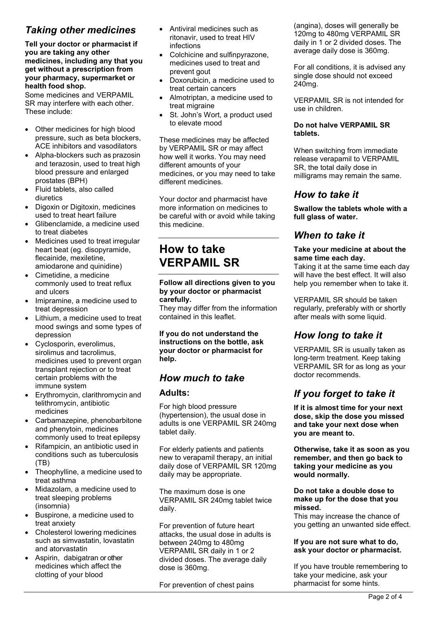## *Taking other medicines*

**Tell your doctor or pharmacist if you are taking any other medicines, including any that you get without a prescription from your pharmacy, supermarket or health food shop.**

Some medicines and VERPAMIL SR may interfere with each other. These include:

- Other medicines for high blood pressure, such as beta blockers, ACE inhibitors and vasodilators
- Alpha-blockers such as prazosin and terazosin, used to treat high blood pressure and enlarged prostates (BPH)
- Fluid tablets, also called diuretics
- Digoxin or Digitoxin, medicines used to treat heart failure
- Glibenclamide, a medicine used to treat diabetes
- Medicines used to treat irregular heart beat (eg. disopyramide, flecainide, mexiletine, amiodarone and quinidine)
- Cimetidine, a medicine commonly used to treat reflux and ulcers
- Imipramine, a medicine used to treat depression
- Lithium, a medicine used to treat mood swings and some types of depression
- Cyclosporin, everolimus, sirolimus and tacrolimus, medicines used to prevent organ transplant rejection or to treat certain problems with the immune system
- Erythromycin, clarithromycin and telithromycin, antibiotic medicines
- Carbamazepine, phenobarbitone and phenytoin, medicines commonly used to treat epilepsy
- Rifampicin, an antibiotic used in conditions such as tuberculosis (TB)
- Theophylline, a medicine used to treat asthma
- Midazolam, a medicine used to treat sleeping problems (insomnia)
- Buspirone, a medicine used to treat anxiety
- Cholesterol lowering medicines such as simvastatin, lovastatin and atorvastatin
- Aspirin, dabigatran or other medicines which affect the clotting of your blood
- Antiviral medicines such as ritonavir, used to treat HIV infections
- Colchicine and sulfinpyrazone. medicines used to treat and prevent gout
- Doxorubicin, a medicine used to treat certain cancers
- Almotriptan, a medicine used to treat migraine
- St. John's Wort, a product used to elevate mood

These medicines may be affected by VERPAMIL SR or may affect how well it works. You may need different amounts of your medicines, or you may need to take different medicines.

Your doctor and pharmacist have more information on medicines to be careful with or avoid while taking this medicine.

# **How to take VERPAMIL SR**

#### **Follow all directions given to you by your doctor or pharmacist carefully.**

They may differ from the information contained in this leaflet.

**If you do not understand the instructions on the bottle, ask your doctor or pharmacist for help.**

### *How much to take*

### **Adults:**

For high blood pressure (hypertension), the usual dose in adults is one VERPAMIL SR 240mg tablet daily.

For elderly patients and patients new to verapamil therapy, an initial daily dose of VERPAMIL SR 120mg daily may be appropriate.

The maximum dose is one VERPAMIL SR 240mg tablet twice daily.

For prevention of future heart attacks, the usual dose in adults is between 240mg to 480mg VERPAMIL SR daily in 1 or 2 divided doses. The average daily dose is 360mg.

For prevention of chest pains

(angina), doses will generally be 120mg to 480mg VERPAMIL SR daily in 1 or 2 divided doses. The average daily dose is 360mg.

For all conditions, it is advised any single dose should not exceed 240mg.

VERPAMIL SR is not intended for use in children.

### **Do not halve VERPAMIL SR tablets.**

When switching from immediate release verapamil to VERPAMIL SR, the total daily dose in milligrams may remain the same.

### *How to take it*

**Swallow the tablets whole with a full glass of water.**

### *When to take it*

#### **Take your medicine at about the same time each day.**

Taking it at the same time each day will have the best effect. It will also help you remember when to take it.

VERPAMIL SR should be taken regularly, preferably with or shortly after meals with some liquid.

### *How long to take it*

VERPAMIL SR is usually taken as long-term treatment. Keep taking VERPAMIL SR for as long as your doctor recommends.

## *If you forget to take it*

**If it is almost time for your next dose, skip the dose you missed and take your next dose when you are meant to.**

**Otherwise, take it as soon as you remember, and then go back to taking your medicine as you would normally.**

**Do not take a double dose to make up for the dose that you missed.**

This may increase the chance of you getting an unwanted side effect.

#### **If you are not sure what to do, ask your doctor or pharmacist.**

If you have trouble remembering to take your medicine, ask your pharmacist for some hints.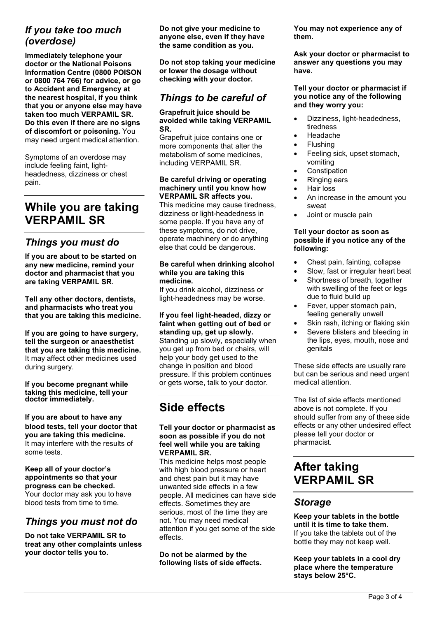### *If you take too much (overdose)*

**Immediately telephone your doctor or the National Poisons Information Centre (0800 POISON or 0800 764 766) for advice, or go to Accident and Emergency at the nearest hospital, if you think that you or anyone else may have taken too much VERPAMIL SR. Do this even if there are no signs of discomfort or poisoning.** You may need urgent medical attention.

Symptoms of an overdose may include feeling faint, lightheadedness, dizziness or chest pain.

# **While you are taking VERPAMIL SR**

### *Things you must do*

**If you are about to be started on any new medicine, remind your doctor and pharmacist that you are taking VERPAMIL SR.**

**Tell any other doctors, dentists, and pharmacists who treat you that you are taking this medicine.**

**If you are going to have surgery, tell the surgeon or anaesthetist that you are taking this medicine.**  It may affect other medicines used during surgery.

**If you become pregnant while taking this medicine, tell your doctor immediately.**

#### **If you are about to have any blood tests, tell your doctor that you are taking this medicine.** It may interfere with the results of some tests. **VERPAMIL SR.**

**Keep all of your doctor's appointments so that your progress can be checked.**  Your doctor may ask you to have blood tests from time to time.

### *Things you must not do*

**Do not take VERPAMIL SR to treat any other complaints unless your doctor tells you to.**

**Do not give your medicine to anyone else, even if they have the same condition as you.**

**Do not stop taking your medicine or lower the dosage without checking with your doctor.**

## *Things to be careful of*

#### **Grapefruit juice should be avoided while taking VERPAMIL SR.**

Grapefruit juice contains one or more components that alter the metabolism of some medicines, including VERPAMIL SR.

#### **Be careful driving or operating machinery until you know how VERPAMIL SR affects you.**

This medicine may cause tiredness, dizziness or light-headedness in some people. If you have any of these symptoms, do not drive, operate machinery or do anything else that could be dangerous.

#### **Be careful when drinking alcohol while you are taking this medicine.**

If you drink alcohol, dizziness or light-headedness may be worse.

**If you feel light-headed, dizzy or faint when getting out of bed or standing up, get up slowly.** Standing up slowly, especially when you get up from bed or chairs, will help your body get used to the change in position and blood pressure. If this problem continues or gets worse, talk to your doctor.

# **Side effects**

### **Tell your doctor or pharmacist as soon as possible if you do not feel well while you are taking**

This medicine helps most people with high blood pressure or heart and chest pain but it may have unwanted side effects in a few people. All medicines can have side effects. Sometimes they are serious, most of the time they are not. You may need medical attention if you get some of the side effects.

**Do not be alarmed by the following lists of side effects.** **You may not experience any of them.**

**Ask your doctor or pharmacist to answer any questions you may have.**

#### **Tell your doctor or pharmacist if you notice any of the following and they worry you:**

- Dizziness, light-headedness, tiredness
- Headache
- Flushing
- Feeling sick, upset stomach, vomiting
- Constipation
- Ringing ears
- Hair loss
- An increase in the amount you sweat
- Joint or muscle pain

#### **Tell your doctor as soon as possible if you notice any of the following:**

- Chest pain, fainting, collapse
- Slow, fast or irregular heart beat
- Shortness of breath, together with swelling of the feet or legs due to fluid build up
- Fever, upper stomach pain, feeling generally unwell
- Skin rash, itching or flaking skin
- Severe blisters and bleeding in the lips, eyes, mouth, nose and genitals

These side effects are usually rare but can be serious and need urgent medical attention.

The list of side effects mentioned above is not complete. If you should suffer from any of these side effects or any other undesired effect please tell your doctor or pharmacist.

# **After taking VERPAMIL SR**

### *Storage*

**Keep your tablets in the bottle until it is time to take them.** If you take the tablets out of the bottle they may not keep well.

**Keep your tablets in a cool dry place where the temperature stays below 25°C.**